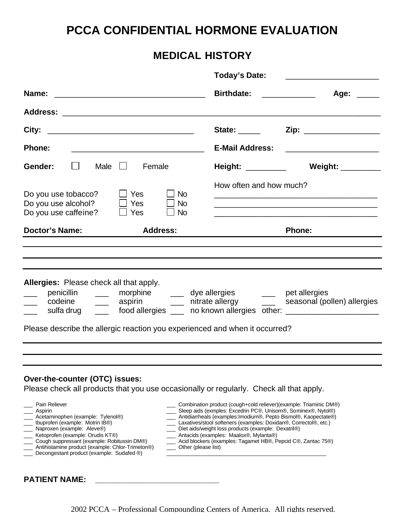# **PCCA CONFIDENTIAL HORMONE EVALUATION**

# **MEDICAL HISTORY**

|                                                                                                                                                                                                                                                                                                                                                                                                                                                 | <b>Today's Date:</b>                                                                                                                                                                                                                                                                                                                                                                                                                                              | <u> 1999 - Johann John Stone, market fan it ferskearre fan it ferskearre fan it ferskearre fan it ferskearre fan i</u>                                                                   |
|-------------------------------------------------------------------------------------------------------------------------------------------------------------------------------------------------------------------------------------------------------------------------------------------------------------------------------------------------------------------------------------------------------------------------------------------------|-------------------------------------------------------------------------------------------------------------------------------------------------------------------------------------------------------------------------------------------------------------------------------------------------------------------------------------------------------------------------------------------------------------------------------------------------------------------|------------------------------------------------------------------------------------------------------------------------------------------------------------------------------------------|
| Name:                                                                                                                                                                                                                                                                                                                                                                                                                                           | <b>Birthdate:</b>                                                                                                                                                                                                                                                                                                                                                                                                                                                 | Age: ____                                                                                                                                                                                |
|                                                                                                                                                                                                                                                                                                                                                                                                                                                 |                                                                                                                                                                                                                                                                                                                                                                                                                                                                   |                                                                                                                                                                                          |
| City:                                                                                                                                                                                                                                                                                                                                                                                                                                           | State: ______                                                                                                                                                                                                                                                                                                                                                                                                                                                     | Zip: ___________________                                                                                                                                                                 |
| <b>Phone:</b>                                                                                                                                                                                                                                                                                                                                                                                                                                   | <b>E-Mail Address:</b>                                                                                                                                                                                                                                                                                                                                                                                                                                            |                                                                                                                                                                                          |
| ⊔<br>Male $\Box$<br>Female<br>Gender:                                                                                                                                                                                                                                                                                                                                                                                                           | Height: __________                                                                                                                                                                                                                                                                                                                                                                                                                                                | Weight: _________                                                                                                                                                                        |
| Do you use tobacco?<br>$\sqcup$ Yes<br>Do you use alcohol?<br>Yes<br>Do you use caffeine?<br>$\Box$ Yes                                                                                                                                                                                                                                                                                                                                         | How often and how much?<br><b>No</b><br><b>No</b><br>$\sqcup$ No                                                                                                                                                                                                                                                                                                                                                                                                  | <u> 1980 - Johann Stoff, amerikansk politiker (d. 1980)</u><br><u> 1989 - Johann Stoff, amerikansk politiker (d. 1989)</u><br><u> 1989 - Johann Stoff, amerikansk politiker (* 1908)</u> |
| <b>Doctor's Name:</b><br><b>Address:</b>                                                                                                                                                                                                                                                                                                                                                                                                        |                                                                                                                                                                                                                                                                                                                                                                                                                                                                   | <b>Phone:</b>                                                                                                                                                                            |
| <b>Allergies:</b> Please check all that apply.<br>penicillin ____ morphine ____ dye allergies ____ pet allergies<br>codeine _____ aspirin _____ nitrate allergy<br>sulfa drug ______ food allergies _____ no known allergies other: ________________<br>Please describe the allergic reaction you experienced and when it occurred?                                                                                                             |                                                                                                                                                                                                                                                                                                                                                                                                                                                                   | ____ seasonal (pollen) allergies                                                                                                                                                         |
|                                                                                                                                                                                                                                                                                                                                                                                                                                                 |                                                                                                                                                                                                                                                                                                                                                                                                                                                                   |                                                                                                                                                                                          |
| Over-the-counter (OTC) issues:<br>Please check all products that you use occasionally or regularly. Check all that apply.<br>Pain Reliever<br>Aspirin<br>Acetaminophen (example: Tylenol®)<br>Ibuprofen (example: Motrin IB®)<br>Naproxen (example: Aleve®)<br>Ketoprofen (example: Orudis KT®)<br>Cough suppressant (example: Robitussin DM®)<br>Antihistamine product (example: Chlor-Trimeton®)<br>Decongestant product (example: Sudafed ®) | Combination product (cough+cold reliever)(example: Triaminic DM®)<br>Sleep aids (exmples: Excedrin PC®, Unisom®, Sominex®, Nytol®)<br>Antidiarrheals (examples: Imodium®, Pepto Bismol®, Kaopectate®)<br>Laxatives/stool softeners (examples: Doxidan®, Correctol®, etc.)<br>Diet aids/weight loss products (example: Dexatril®)<br>Antacids (examples: Maalox®, Mylanta®)<br>Acid blockers (examples: Tagamet HB®, Pepcid C®, Zantac 75®)<br>Other (please list) |                                                                                                                                                                                          |

## **PATIENT NAME: \_\_\_\_\_\_\_\_\_\_\_\_\_\_\_\_\_\_\_\_\_\_\_\_\_\_\_\_**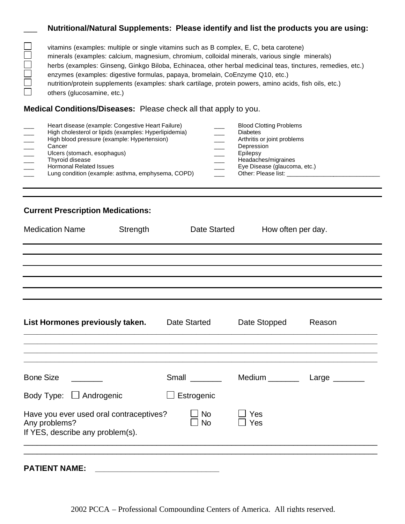#### \_\_\_ **Nutritional/Natural Supplements: Please identify and list the products you are using:**

| vitamins (examples: multiple or single vitamins such as B complex, E, C, beta carotene)                     |
|-------------------------------------------------------------------------------------------------------------|
| minerals (examples: calcium, magnesium, chromium, colloidal minerals, various single minerals)              |
| herbs (examples: Ginseng, Ginkgo Biloba, Echinacea, other herbal medicinal teas, tinctures, remedies, etc.) |
| enzymes (examples: digestive formulas, papaya, bromelain, CoEnzyme Q10, etc.)                               |
| nutrition/protein supplements (examples: shark cartilage, protein powers, amino acids, fish oils, etc.)     |
| others (glucosamine, etc.)                                                                                  |

#### **Medical Conditions/Diseases:** Please check all that apply to you.

### **Current Prescription Medications:**

| <b>Medication Name</b>                                                                       | Strength | Date Started           | How often per day. |                                     |
|----------------------------------------------------------------------------------------------|----------|------------------------|--------------------|-------------------------------------|
|                                                                                              |          |                        |                    |                                     |
|                                                                                              |          |                        |                    |                                     |
|                                                                                              |          |                        |                    |                                     |
| List Hormones previously taken.                                                              |          | <b>Date Started</b>    | Date Stopped       | Reason                              |
| <b>Bone Size</b>                                                                             |          | Small                  |                    | Medium ____________ Large _________ |
| Body Type: $\Box$ Androgenic                                                                 |          | Estrogenic             |                    |                                     |
| Have you ever used oral contraceptives?<br>Any problems?<br>If YES, describe any problem(s). |          | <b>No</b><br><b>No</b> | Yes<br>Yes         |                                     |
| <b>PATIENT NAME:</b>                                                                         |          |                        |                    |                                     |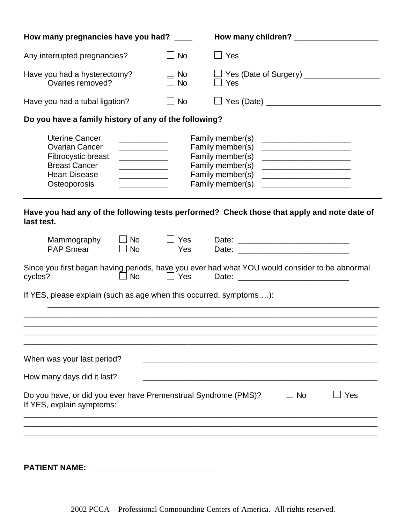| How many pregnancies have you had? ____                                                                                              |                                                                                                                                                                                                                                                                                                                                                                                                                                                                                                                                                                                                                                                                        | How many children? ______________________ |  |  |  |
|--------------------------------------------------------------------------------------------------------------------------------------|------------------------------------------------------------------------------------------------------------------------------------------------------------------------------------------------------------------------------------------------------------------------------------------------------------------------------------------------------------------------------------------------------------------------------------------------------------------------------------------------------------------------------------------------------------------------------------------------------------------------------------------------------------------------|-------------------------------------------|--|--|--|
| Any interrupted pregnancies?                                                                                                         | ⊿l No                                                                                                                                                                                                                                                                                                                                                                                                                                                                                                                                                                                                                                                                  | $\Box$ Yes                                |  |  |  |
| Have you had a hysterectomy?<br>Ovaries removed?                                                                                     | <b>No</b><br><b>No</b>                                                                                                                                                                                                                                                                                                                                                                                                                                                                                                                                                                                                                                                 | $\Box$ Yes                                |  |  |  |
| Have you had a tubal ligation?                                                                                                       | $\Box$ No                                                                                                                                                                                                                                                                                                                                                                                                                                                                                                                                                                                                                                                              | □ Yes (Date) ______________________       |  |  |  |
| Do you have a family history of any of the following?                                                                                |                                                                                                                                                                                                                                                                                                                                                                                                                                                                                                                                                                                                                                                                        |                                           |  |  |  |
| <b>Uterine Cancer</b><br><b>Ovarian Cancer</b><br>Fibrocystic breast<br><b>Breast Cancer</b><br><b>Heart Disease</b><br>Osteoporosis | Family member(s)<br><u> The Common School (1989)</u><br>Family member(s)<br><u> 1990 - Johann Barbara, martin a</u><br>Family member(s)<br>Family member(s)<br><u> 1989 - Johann Barn, mars eta bat erroman erroman erroman erroman erroman erroman erroman erroman erroman err</u><br><u> 1989 - Johann Barnett, fransk konge</u><br>Family member(s)<br><u> 1980 - Johann Barbara, martxa a</u><br><u> 1990 - Johann John Harry Harry Harry Harry Harry Harry Harry Harry Harry Harry Harry Harry Harry Harry Harry</u><br>Family member(s)<br><u> 1980 - John Stein, mars and de Britain and de Britain and de Britain and de Britain and de Britain and de Bri</u> |                                           |  |  |  |
| Have you had any of the following tests performed? Check those that apply and note date of<br>last test.                             |                                                                                                                                                                                                                                                                                                                                                                                                                                                                                                                                                                                                                                                                        |                                           |  |  |  |
| $\Box$ No<br>Mammography<br><b>PAP Smear</b><br>$\Box$ No                                                                            | $\sqcup$ Yes<br>Yes                                                                                                                                                                                                                                                                                                                                                                                                                                                                                                                                                                                                                                                    | Date:                                     |  |  |  |
| Since you first began having periods, have you ever had what YOU would consider to be abnormal<br><b>No</b><br>$\Box$ Yes<br>cycles? |                                                                                                                                                                                                                                                                                                                                                                                                                                                                                                                                                                                                                                                                        |                                           |  |  |  |
| If YES, please explain (such as age when this occurred, symptoms):                                                                   |                                                                                                                                                                                                                                                                                                                                                                                                                                                                                                                                                                                                                                                                        |                                           |  |  |  |
|                                                                                                                                      |                                                                                                                                                                                                                                                                                                                                                                                                                                                                                                                                                                                                                                                                        |                                           |  |  |  |
| When was your last period?                                                                                                           |                                                                                                                                                                                                                                                                                                                                                                                                                                                                                                                                                                                                                                                                        |                                           |  |  |  |
| How many days did it last?                                                                                                           |                                                                                                                                                                                                                                                                                                                                                                                                                                                                                                                                                                                                                                                                        |                                           |  |  |  |
| Do you have, or did you ever have Premenstrual Syndrome (PMS)?<br>$\Box$ No<br>$\sqcup$ Yes<br>If YES, explain symptoms:             |                                                                                                                                                                                                                                                                                                                                                                                                                                                                                                                                                                                                                                                                        |                                           |  |  |  |
|                                                                                                                                      |                                                                                                                                                                                                                                                                                                                                                                                                                                                                                                                                                                                                                                                                        |                                           |  |  |  |

**PATIENT NAME: \_\_\_\_\_\_\_\_\_\_\_\_\_\_\_\_\_\_\_\_\_\_\_\_\_\_\_**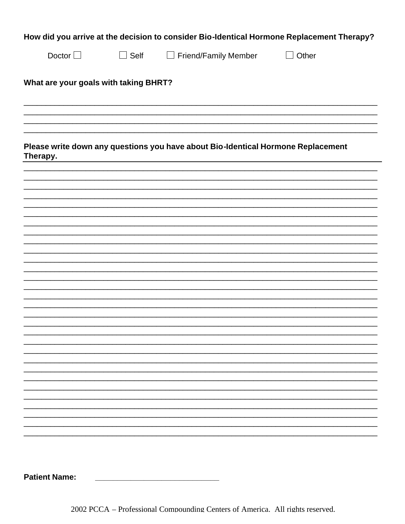| How did you arrive at the decision to consider Bio-Identical Hormone Replacement Therapy? |             |                      |              |  |  |
|-------------------------------------------------------------------------------------------|-------------|----------------------|--------------|--|--|
| Doctor $\Box$                                                                             | $\Box$ Self | Friend/Family Member | $\Box$ Other |  |  |

#### What are your goals with taking BHRT?

Please write down any questions you have about Bio-Identical Hormone Replacement Therapy.

**Patient Name:** 

2002 PCCA - Professional Compounding Centers of America. All rights reserved.